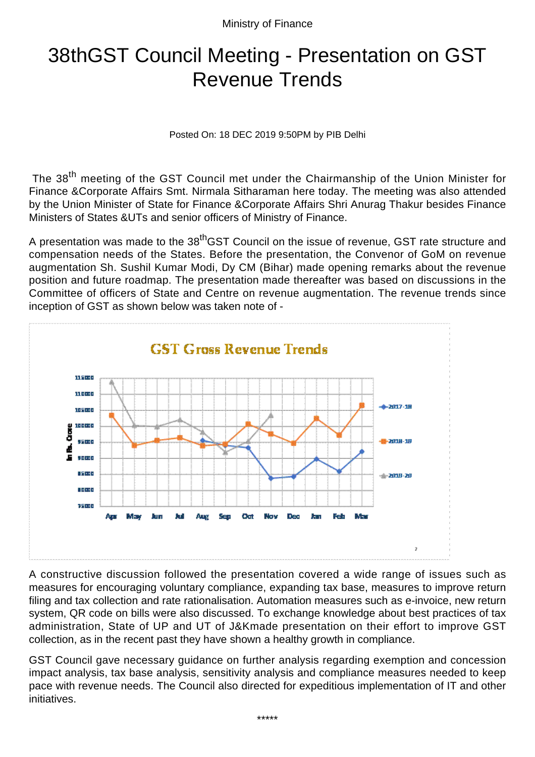Ministry of Finance

## 38thGST Council Meeting - Presentation on GST Revenue Trends

Posted On: 18 DEC 2019 9:50PM by PIB Delhi

The 38<sup>th</sup> meeting of the GST Council met under the Chairmanship of the Union Minister for Finance &Corporate Affairs Smt. Nirmala Sitharaman here today. The meeting was also attended by the Union Minister of State for Finance &Corporate Affairs Shri Anurag Thakur besides Finance Ministers of States &UTs and senior officers of Ministry of Finance.

A presentation was made to the 38<sup>th</sup>GST Council on the issue of revenue, GST rate structure and compensation needs of the States. Before the presentation, the Convenor of GoM on revenue augmentation Sh. Sushil Kumar Modi, Dy CM (Bihar) made opening remarks about the revenue position and future roadmap. The presentation made thereafter was based on discussions in the Committee of officers of State and Centre on revenue augmentation. The revenue trends since inception of GST as shown below was taken note of -





A constructive discussion followed the presentation covered a wide range of issues such as measures for encouraging voluntary compliance, expanding tax base, measures to improve return filing and tax collection and rate rationalisation. Automation measures such as e-invoice, new return system, QR code on bills were also discussed. To exchange knowledge about best practices of tax administration, State of UP and UT of J&Kmade presentation on their effort to improve GST collection, as in the recent past they have shown a healthy growth in compliance.

GST Council gave necessary guidance on further analysis regarding exemption and concession impact analysis, tax base analysis, sensitivity analysis and compliance measures needed to keep pace with revenue needs. The Council also directed for expeditious implementation of IT and other initiatives.